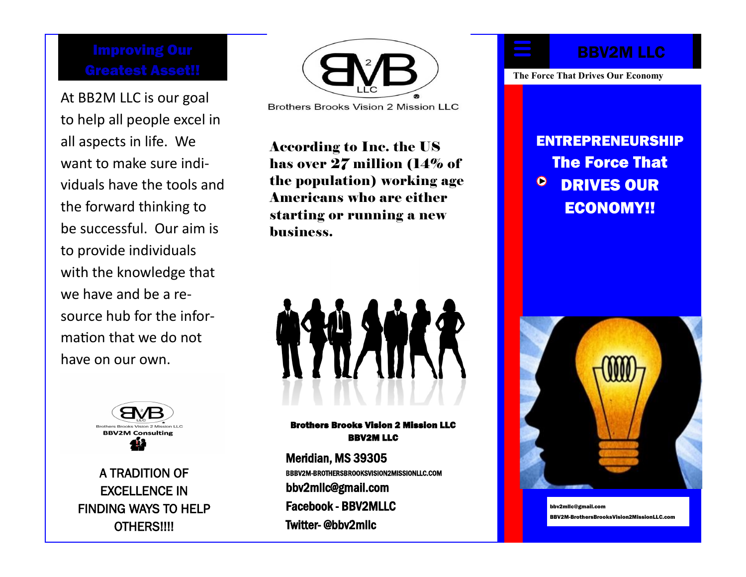At BB2M LLC is our goal to help all people excel in all aspects in life. We want to make sure individuals have the tools and the forward thinking to be successful. Our aim is to provide individuals with the knowledge that we have and be a resource hub for the information that we do not have on our own.



A TRADITION OF EXCELLENCE IN FINDING WAYS TO HELP OTHERS!!!!



Brothers Brooks Vision 2 Mission LLC

According to Inc. the US has over 27 million (14% of the population) working age Americans who are either starting or running a new business.

Brothers Brooks Vision 2 Mission LLC BBV2M LLC

Meridian, MS 39305 BBBV2M-BROTHERSBROOKSVISION2MISSIONLLC.COM bbv2mllc@gmail.com Facebook - BBV2MLLC Twitter- @bbv2mllc

# BBV2M LLC

**The Force That Drives Our Economy**

ENTREPRENEURSHIP The Force That  $\bullet$ DRIVES OUR ECONOMY!!



bbv2mllc@gmail.com BBV2M-BrothersBrooksVision2MissionLLC.com